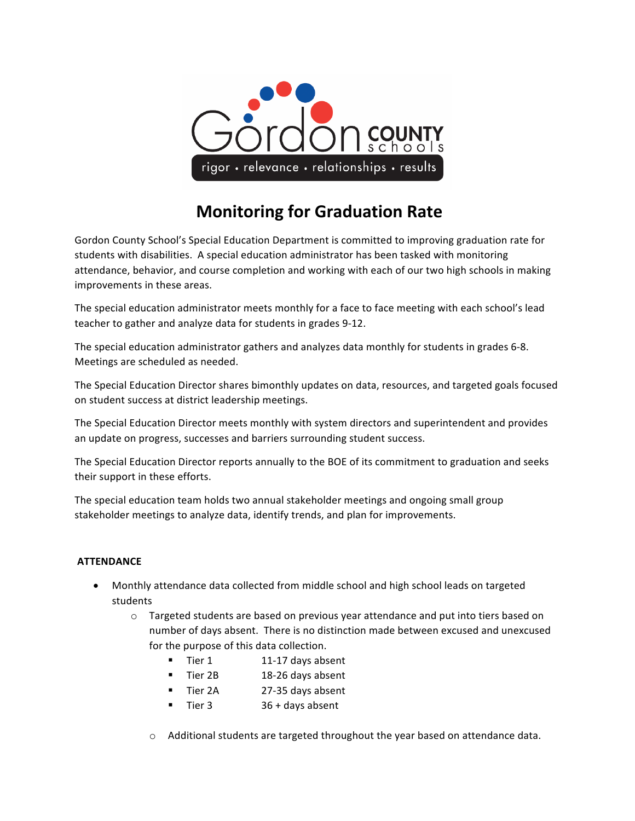

# **Monitoring for Graduation Rate**

Gordon County School's Special Education Department is committed to improving graduation rate for students with disabilities. A special education administrator has been tasked with monitoring attendance, behavior, and course completion and working with each of our two high schools in making improvements in these areas.

The special education administrator meets monthly for a face to face meeting with each school's lead teacher to gather and analyze data for students in grades 9-12.

The special education administrator gathers and analyzes data monthly for students in grades 6-8. Meetings are scheduled as needed.

The Special Education Director shares bimonthly updates on data, resources, and targeted goals focused on student success at district leadership meetings.

The Special Education Director meets monthly with system directors and superintendent and provides an update on progress, successes and barriers surrounding student success.

The Special Education Director reports annually to the BOE of its commitment to graduation and seeks their support in these efforts.

The special education team holds two annual stakeholder meetings and ongoing small group stakeholder meetings to analyze data, identify trends, and plan for improvements.

# **ATTENDANCE**

- Monthly attendance data collected from middle school and high school leads on targeted students
	- $\circ$  Targeted students are based on previous year attendance and put into tiers based on number of days absent. There is no distinction made between excused and unexcused for the purpose of this data collection.
		- Tier 1 11-17 days absent
		- Tier 2B 18-26 days absent
		- Tier 2A 27-35 days absent
		- Tier 3 36 + days absent
		- $\circ$  Additional students are targeted throughout the year based on attendance data.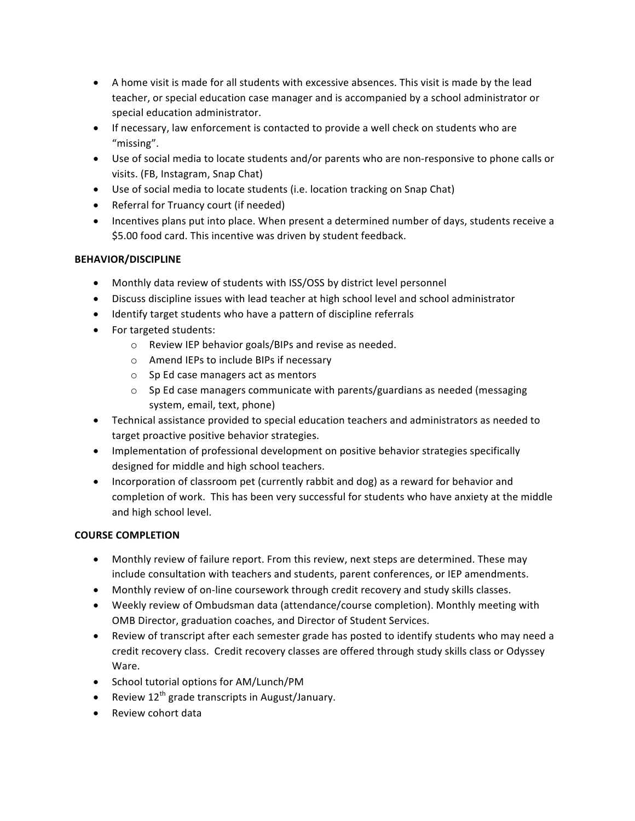- A home visit is made for all students with excessive absences. This visit is made by the lead teacher, or special education case manager and is accompanied by a school administrator or special education administrator.
- If necessary, law enforcement is contacted to provide a well check on students who are "missing".
- Use of social media to locate students and/or parents who are non-responsive to phone calls or visits. (FB, Instagram, Snap Chat)
- Use of social media to locate students (i.e. location tracking on Snap Chat)
- Referral for Truancy court (if needed)
- Incentives plans put into place. When present a determined number of days, students receive a \$5.00 food card. This incentive was driven by student feedback.

# **BEHAVIOR/DISCIPLINE**

- Monthly data review of students with ISS/OSS by district level personnel
- Discuss discipline issues with lead teacher at high school level and school administrator
- Identify target students who have a pattern of discipline referrals
- For targeted students:
	- $\circ$  Review IEP behavior goals/BIPs and revise as needed.
	- o Amend IEPs to include BIPs if necessary
	- $\circ$  Sp Ed case managers act as mentors
	- $\circ$  Sp Ed case managers communicate with parents/guardians as needed (messaging system, email, text, phone)
- Technical assistance provided to special education teachers and administrators as needed to target proactive positive behavior strategies.
- Implementation of professional development on positive behavior strategies specifically designed for middle and high school teachers.
- Incorporation of classroom pet (currently rabbit and dog) as a reward for behavior and completion of work. This has been very successful for students who have anxiety at the middle and high school level.

### **COURSE COMPLETION**

- Monthly review of failure report. From this review, next steps are determined. These may include consultation with teachers and students, parent conferences, or IEP amendments.
- Monthly review of on-line coursework through credit recovery and study skills classes.
- Weekly review of Ombudsman data (attendance/course completion). Monthly meeting with OMB Director, graduation coaches, and Director of Student Services.
- Review of transcript after each semester grade has posted to identify students who may need a credit recovery class. Credit recovery classes are offered through study skills class or Odyssey Ware.
- School tutorial options for AM/Lunch/PM
- Review  $12^{th}$  grade transcripts in August/January.
- Review cohort data